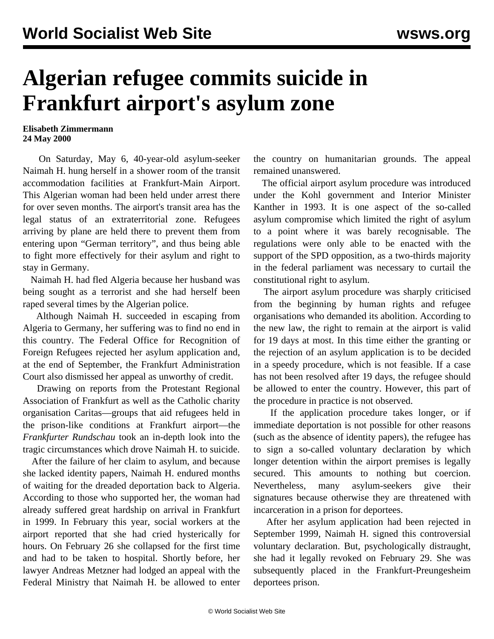## **Algerian refugee commits suicide in Frankfurt airport's asylum zone**

## **Elisabeth Zimmermann 24 May 2000**

 On Saturday, May 6, 40-year-old asylum-seeker Naimah H. hung herself in a shower room of the transit accommodation facilities at Frankfurt-Main Airport. This Algerian woman had been held under arrest there for over seven months. The airport's transit area has the legal status of an extraterritorial zone. Refugees arriving by plane are held there to prevent them from entering upon "German territory", and thus being able to fight more effectively for their asylum and right to stay in Germany.

 Naimah H. had fled Algeria because her husband was being sought as a terrorist and she had herself been raped several times by the Algerian police.

 Although Naimah H. succeeded in escaping from Algeria to Germany, her suffering was to find no end in this country. The Federal Office for Recognition of Foreign Refugees rejected her asylum application and, at the end of September, the Frankfurt Administration Court also dismissed her appeal as unworthy of credit.

 Drawing on reports from the Protestant Regional Association of Frankfurt as well as the Catholic charity organisation Caritas—groups that aid refugees held in the prison-like conditions at Frankfurt airport—the *Frankfurter Rundschau* took an in-depth look into the tragic circumstances which drove Naimah H. to suicide.

 After the failure of her claim to asylum, and because she lacked identity papers, Naimah H. endured months of waiting for the dreaded deportation back to Algeria. According to those who supported her, the woman had already suffered great hardship on arrival in Frankfurt in 1999. In February this year, social workers at the airport reported that she had cried hysterically for hours. On February 26 she collapsed for the first time and had to be taken to hospital. Shortly before, her lawyer Andreas Metzner had lodged an appeal with the Federal Ministry that Naimah H. be allowed to enter

the country on humanitarian grounds. The appeal remained unanswered.

 The official airport asylum procedure was introduced under the Kohl government and Interior Minister Kanther in 1993. It is one aspect of the so-called asylum compromise which limited the right of asylum to a point where it was barely recognisable. The regulations were only able to be enacted with the support of the SPD opposition, as a two-thirds majority in the federal parliament was necessary to curtail the constitutional right to asylum.

 The airport asylum procedure was sharply criticised from the beginning by human rights and refugee organisations who demanded its abolition. According to the new law, the right to remain at the airport is valid for 19 days at most. In this time either the granting or the rejection of an asylum application is to be decided in a speedy procedure, which is not feasible. If a case has not been resolved after 19 days, the refugee should be allowed to enter the country. However, this part of the procedure in practice is not observed.

 If the application procedure takes longer, or if immediate deportation is not possible for other reasons (such as the absence of identity papers), the refugee has to sign a so-called voluntary declaration by which longer detention within the airport premises is legally secured. This amounts to nothing but coercion. Nevertheless, many asylum-seekers give their signatures because otherwise they are threatened with incarceration in a prison for deportees.

 After her asylum application had been rejected in September 1999, Naimah H. signed this controversial voluntary declaration. But, psychologically distraught, she had it legally revoked on February 29. She was subsequently placed in the Frankfurt-Preungesheim deportees prison.